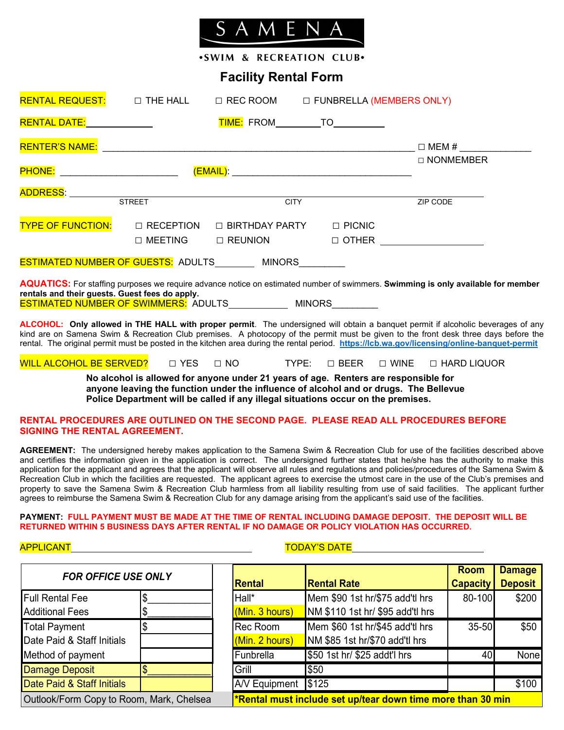

.SWIM & RECREATION CLUB.

# **Facility Rental Form**

| RENTAL REQUEST: □ THE HALL                                                                                                                                                                                                                                                                                                                                                                                             |                                    | $\Box$ REC ROOM $\Box$ FUNBRELLA (MEMBERS ONLY) |             |               |          |                                    |  |
|------------------------------------------------------------------------------------------------------------------------------------------------------------------------------------------------------------------------------------------------------------------------------------------------------------------------------------------------------------------------------------------------------------------------|------------------------------------|-------------------------------------------------|-------------|---------------|----------|------------------------------------|--|
|                                                                                                                                                                                                                                                                                                                                                                                                                        |                                    | <b>TIME:</b> FROM__________TO___________        |             |               |          |                                    |  |
|                                                                                                                                                                                                                                                                                                                                                                                                                        |                                    |                                                 |             |               |          |                                    |  |
|                                                                                                                                                                                                                                                                                                                                                                                                                        |                                    |                                                 | □ NONMEMBER |               |          |                                    |  |
|                                                                                                                                                                                                                                                                                                                                                                                                                        |                                    |                                                 |             |               | ZIP CODE |                                    |  |
| <b>TYPE OF FUNCTION:</b>                                                                                                                                                                                                                                                                                                                                                                                               | $\Box$ RECEPTION<br>$\Box$ MEETING | $\Box$ BIRTHDAY PARTY<br>$\Box$ REUNION         |             | $\Box$ PICNIC |          | $\Box$ OTHER _____________________ |  |
| ESTIMATED NUMBER OF GUESTS: ADULTS ________ MINORS ________                                                                                                                                                                                                                                                                                                                                                            |                                    |                                                 |             |               |          |                                    |  |
| <b>AQUATICS:</b> For staffing purposes we require advance notice on estimated number of swimmers. Swimming is only available for member<br>rentals and their guests. Guest fees do apply.<br>ESTIMATED NUMBER OF SWIMMERS: ADULTS _____________ MINORS                                                                                                                                                                 |                                    |                                                 |             |               |          |                                    |  |
| ALCOHOL: Only allowed in THE HALL with proper permit. The undersigned will obtain a banquet permit if alcoholic beverages of any<br>kind are on Samena Swim & Recreation Club premises. A photocopy of the permit must be given to the front desk three days before the<br>rental. The original permit must be posted in the kitchen area during the rental period. https://lcb.wa.gov/licensing/online-banquet-permit |                                    |                                                 |             |               |          |                                    |  |
| WILL ALCOHOL BE SERVED?  □ YES  □ NO     TYPE:  □ BEER  □ WINE  □ HARD LIQUOR                                                                                                                                                                                                                                                                                                                                          |                                    |                                                 |             |               |          |                                    |  |

**No alcohol is allowed for anyone under 21 years of age. Renters are responsible for anyone leaving the function under the influence of alcohol and or drugs. The Bellevue Police Department will be called if any illegal situations occur on the premises.**

### **RENTAL PROCEDURES ARE OUTLINED ON THE SECOND PAGE. PLEASE READ ALL PROCEDURES BEFORE SIGNING THE RENTAL AGREEMENT.**

**AGREEMENT:** The undersigned hereby makes application to the Samena Swim & Recreation Club for use of the facilities described above and certifies the information given in the application is correct. The undersigned further states that he/she has the authority to make this application for the applicant and agrees that the applicant will observe all rules and regulations and policies/procedures of the Samena Swim & Recreation Club in which the facilities are requested. The applicant agrees to exercise the utmost care in the use of the Club's premises and property to save the Samena Swim & Recreation Club harmless from all liability resulting from use of said facilities. The applicant further agrees to reimburse the Samena Swim & Recreation Club for any damage arising from the applicant's said use of the facilities.

### **PAYMENT: FULL PAYMENT MUST BE MADE AT THE TIME OF RENTAL INCLUDING DAMAGE DEPOSIT. THE DEPOSIT WILL BE RETURNED WITHIN 5 BUSINESS DAYS AFTER RENTAL IF NO DAMAGE OR POLICY VIOLATION HAS OCCURRED.**

## APPLICANT TODAY'S DATE

| <b>FOR OFFICE USE ONLY</b>               |  |                                                             |                                  | <b>Room</b>     | <b>Damage</b>  |  |
|------------------------------------------|--|-------------------------------------------------------------|----------------------------------|-----------------|----------------|--|
|                                          |  | Rental                                                      | <b>Rental Rate</b>               | <b>Capacity</b> | <b>Deposit</b> |  |
| <b>Full Rental Fee</b>                   |  | Hall*                                                       | Mem \$90 1st hr/\$75 add'tl hrs  | 80-100          | \$200          |  |
| <b>Additional Fees</b>                   |  | (Min. 3 hours)                                              | NM \$110 1st hr/ \$95 add'tl hrs |                 |                |  |
| <b>Total Payment</b>                     |  | Rec Room                                                    | Mem \$60 1st hr/\$45 add'tl hrs  | $35 - 50$       | \$50           |  |
| Date Paid & Staff Initials               |  | (Min. 2 hours)                                              | NM \$85 1st hr/\$70 add'tl hrs   |                 |                |  |
| Method of payment                        |  | <b>Funbrella</b>                                            | \$50 1st hr/ \$25 addt'l hrs     | 40              | None           |  |
| Damage Deposit                           |  | Grill                                                       | \$50                             |                 |                |  |
| Date Paid & Staff Initials               |  | A/V Equipment                                               | \$125                            |                 | \$100          |  |
| Outlook/Form Copy to Room, Mark, Chelsea |  | *Rental must include set up/tear down time more than 30 min |                                  |                 |                |  |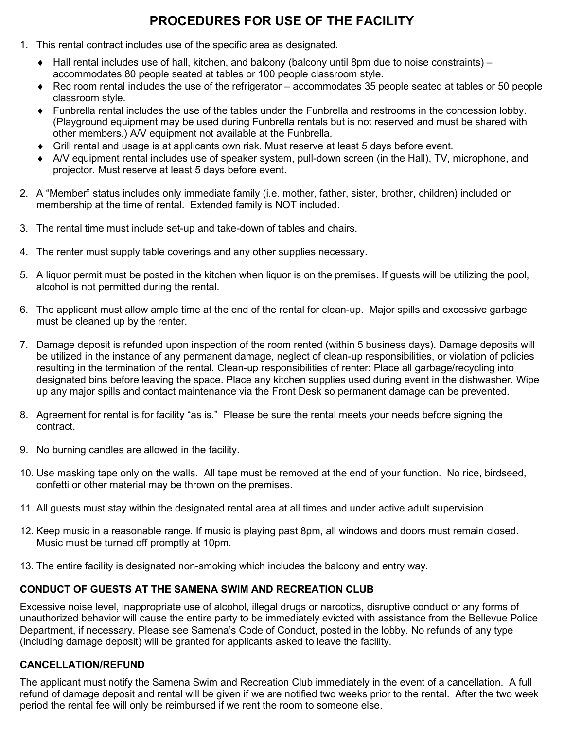# **PROCEDURES FOR USE OF THE FACILITY**

- 1. This rental contract includes use of the specific area as designated.
	- ♦ Hall rental includes use of hall, kitchen, and balcony (balcony until 8pm due to noise constraints) accommodates 80 people seated at tables or 100 people classroom style.
	- ♦ Rec room rental includes the use of the refrigerator accommodates 35 people seated at tables or 50 people classroom style.
	- ♦ Funbrella rental includes the use of the tables under the Funbrella and restrooms in the concession lobby. (Playground equipment may be used during Funbrella rentals but is not reserved and must be shared with other members.) A/V equipment not available at the Funbrella.
	- ♦ Grill rental and usage is at applicants own risk. Must reserve at least 5 days before event.
	- ♦ A/V equipment rental includes use of speaker system, pull-down screen (in the Hall), TV, microphone, and projector. Must reserve at least 5 days before event.
- 2. A "Member" status includes only immediate family (i.e. mother, father, sister, brother, children) included on membership at the time of rental. Extended family is NOT included.
- 3. The rental time must include set-up and take-down of tables and chairs.
- 4. The renter must supply table coverings and any other supplies necessary.
- 5. A liquor permit must be posted in the kitchen when liquor is on the premises. If guests will be utilizing the pool, alcohol is not permitted during the rental.
- 6. The applicant must allow ample time at the end of the rental for clean-up. Major spills and excessive garbage must be cleaned up by the renter.
- 7. Damage deposit is refunded upon inspection of the room rented (within 5 business days). Damage deposits will be utilized in the instance of any permanent damage, neglect of clean-up responsibilities, or violation of policies resulting in the termination of the rental. Clean-up responsibilities of renter: Place all garbage/recycling into designated bins before leaving the space. Place any kitchen supplies used during event in the dishwasher. Wipe up any major spills and contact maintenance via the Front Desk so permanent damage can be prevented.
- 8. Agreement for rental is for facility "as is." Please be sure the rental meets your needs before signing the contract.
- 9. No burning candles are allowed in the facility.
- 10. Use masking tape only on the walls. All tape must be removed at the end of your function. No rice, birdseed, confetti or other material may be thrown on the premises.
- 11. All guests must stay within the designated rental area at all times and under active adult supervision.
- 12. Keep music in a reasonable range. If music is playing past 8pm, all windows and doors must remain closed. Music must be turned off promptly at 10pm.
- 13. The entire facility is designated non-smoking which includes the balcony and entry way.

# **CONDUCT OF GUESTS AT THE SAMENA SWIM AND RECREATION CLUB**

Excessive noise level, inappropriate use of alcohol, illegal drugs or narcotics, disruptive conduct or any forms of unauthorized behavior will cause the entire party to be immediately evicted with assistance from the Bellevue Police Department, if necessary. Please see Samena's Code of Conduct, posted in the lobby. No refunds of any type (including damage deposit) will be granted for applicants asked to leave the facility.

# **CANCELLATION/REFUND**

The applicant must notify the Samena Swim and Recreation Club immediately in the event of a cancellation. A full refund of damage deposit and rental will be given if we are notified two weeks prior to the rental. After the two week period the rental fee will only be reimbursed if we rent the room to someone else.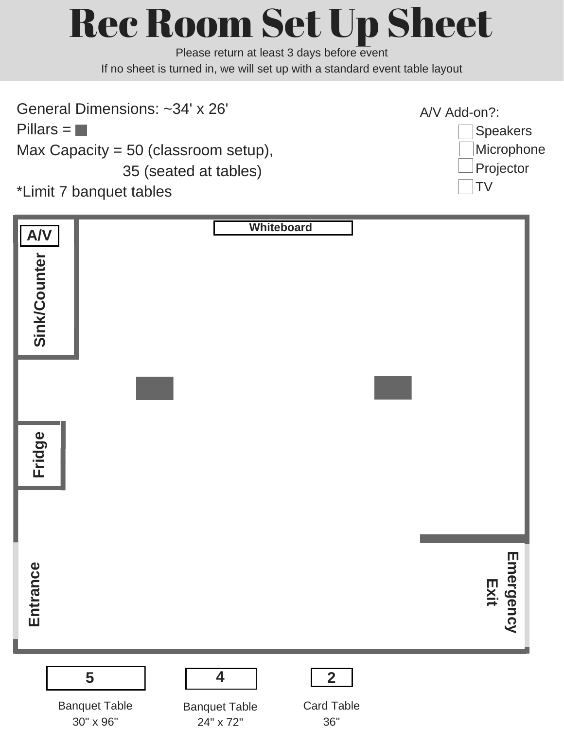# Rec Room Set Up Sheet

Please return at least 3 days before event If no sheet is turned in, we will set up with a standard event table layout

General Dimensions: ~34' x 26'  $Pillars = \blacksquare$ Max Capacity = 50 (classroom setup), 35 (seated at tables) \*Limit 7 banquet tables



| Sink/Counter $\left \sum_{n=1}^{\infty}\right $ |                                        | Whiteboard                                                                                                 |                   |
|-------------------------------------------------|----------------------------------------|------------------------------------------------------------------------------------------------------------|-------------------|
|                                                 |                                        |                                                                                                            |                   |
| Fridge                                          |                                        |                                                                                                            |                   |
|                                                 |                                        |                                                                                                            |                   |
| Entrance                                        |                                        |                                                                                                            | Emergency<br>Exit |
|                                                 | 5<br><b>Banquet Table</b><br>30" x 96" | $\overline{\mathbf{4}}$<br>$\overline{2}$<br><b>Card Table</b><br><b>Banquet Table</b><br>36"<br>24" x 72" |                   |